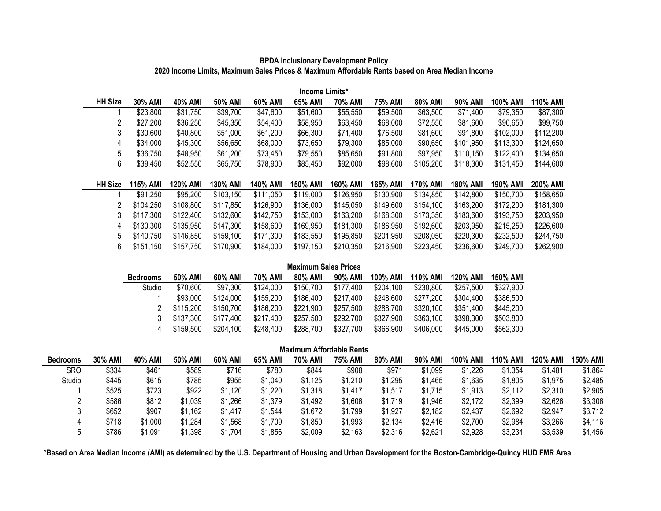| Income Limits*        |                 |                 |                 |           |                 |           |           |                 |           |           |           |  |  |
|-----------------------|-----------------|-----------------|-----------------|-----------|-----------------|-----------|-----------|-----------------|-----------|-----------|-----------|--|--|
| <b>HH Size</b>        | 30% AMI         | 40% AMI         | 50% AMI         | 60% AMI   | 65% AMI         | 70% AMI   | 75% AMI   | 80% AMI         | 90% AMI   | 100% AMI  | 110% AMI  |  |  |
|                       | \$23,800        | \$31,750        | \$39,700        | \$47,600  | \$51,600        | \$55,550  | \$59,500  | \$63,500        | \$71,400  | \$79,350  | \$87,300  |  |  |
| 2                     | \$27,200        | \$36,250        | \$45,350        | \$54,400  | \$58,950        | \$63,450  | \$68,000  | \$72,550        | \$81,600  | \$90,650  | \$99,750  |  |  |
| 3                     | \$30,600        | \$40,800        | \$51,000        | \$61,200  | \$66,300        | \$71,400  | \$76,500  | \$81,600        | \$91,800  | \$102,000 | \$112,200 |  |  |
| 4                     | \$34,000        | \$45,300        | \$56,650        | \$68,000  | \$73,650        | \$79,300  | \$85,000  | \$90,650        | \$101,950 | \$113,300 | \$124,650 |  |  |
| 5                     | \$36,750        | \$48,950        | \$61,200        | \$73,450  | \$79,550        | \$85,650  | \$91,800  | \$97,950        | \$110,150 | \$122,400 | \$134,650 |  |  |
| 6                     | \$39,450        | \$52,550        | \$65,750        | \$78,900  | \$85,450        | \$92,000  | \$98,600  | \$105,200       | \$118,300 | \$131,450 | \$144,600 |  |  |
|                       |                 |                 |                 |           |                 |           |           |                 |           |           |           |  |  |
| <b>HH Size</b>        | <b>115% AMI</b> | <b>120% AMI</b> | <b>130% AMI</b> | 140% AMI  | <b>150% AMI</b> | 160% AMI  | 165% AMI  | <b>170% AMI</b> | 180% AMI  | 190% AMI  | 200% AMI  |  |  |
|                       | \$91,250        | \$95,200        | \$103,150       | \$111,050 | \$119,000       | \$126,950 | \$130,900 | \$134,850       | \$142,800 | \$150,700 | \$158,650 |  |  |
| $\mathbf{2}^{\prime}$ | \$104,250       | \$108,800       | \$117,850       | \$126,900 | \$136,000       | \$145,050 | \$149,600 | \$154,100       | \$163,200 | \$172,200 | \$181,300 |  |  |
| 3                     | \$117,300       | \$122,400       | \$132,600       | \$142,750 | \$153,000       | \$163,200 | \$168,300 | \$173,350       | \$183,600 | \$193,750 | \$203,950 |  |  |
| 4                     | \$130,300       | \$135,950       | \$147,300       | \$158,600 | \$169,950       | \$181,300 | \$186,950 | \$192,600       | \$203,950 | \$215,250 | \$226,600 |  |  |
| 5.                    | \$140,750       | \$146,850       | \$159,100       | \$171,300 | \$183,550       | \$195,850 | \$201,950 | \$208,050       | \$220,300 | \$232,500 | \$244,750 |  |  |
| 6                     | \$151,150       | \$157,750       | \$170,900       | \$184,000 | \$197,150       | \$210,350 | \$216,900 | \$223,450       | \$236,600 | \$249,700 | \$262,900 |  |  |

## **BPDA Inclusionary Development Policy 2020 Income Limits, Maximum Sales Prices & Maximum Affordable Rents based on Area Median Income**

| <b>Maximum Sales Prices</b> |           |           |           |           |           |           |                 |                 |           |  |  |  |
|-----------------------------|-----------|-----------|-----------|-----------|-----------|-----------|-----------------|-----------------|-----------|--|--|--|
| <b>Bedrooms</b>             | 50% AMI   | 60% AMI   | 70% AMI   | 80% AMI   | 90% AMI   | 100% AMI  | <b>110% AMI</b> | <b>120% AMI</b> | 150% AMI  |  |  |  |
| Studio                      | \$70,600  | \$97,300  | \$124,000 | \$150,700 | \$177,400 | \$204,100 | \$230,800       | \$257,500       | \$327,900 |  |  |  |
|                             | \$93,000  | \$124,000 | \$155,200 | \$186,400 | \$217,400 | \$248,600 | \$277,200       | \$304,400       | \$386,500 |  |  |  |
|                             | \$115,200 | \$150,700 | \$186,200 | \$221,900 | \$257,500 | \$288,700 | \$320,100       | \$351,400       | \$445,200 |  |  |  |
|                             | \$137,300 | \$177,400 | \$217,400 | \$257,500 | \$292,700 | \$327,900 | \$363,100       | \$398,300       | \$503,800 |  |  |  |
|                             | \$159,500 | \$204,100 | \$248,400 | \$288,700 | \$327,700 | \$366,900 | \$406,000       | \$445,000       | \$562,300 |  |  |  |

| <b>Maximum Affordable Rents</b> |                |         |         |         |         |         |         |         |         |          |          |                 |                 |
|---------------------------------|----------------|---------|---------|---------|---------|---------|---------|---------|---------|----------|----------|-----------------|-----------------|
| <b>Bedrooms</b>                 | <b>30% AMI</b> | 40% AMI | 50% AMI | 60% AMI | 65% AMI | 70% AMI | 75% AMI | 80% AMI | 90% AMI | 100% AMI | 110% AMI | <b>120% AMI</b> | <b>150% AMI</b> |
| <b>SRO</b>                      | \$334          | \$461   | \$589   | \$716   | \$780   | \$844   | \$908   | \$971   | \$1,099 | \$1,226  | \$1,354  | \$1,481         | \$1,864         |
| Studio                          | \$445          | \$615   | \$785   | \$955   | \$1,040 | \$1,125 | \$1,210 | \$1,295 | \$1,465 | \$1,635  | \$1,805  | \$1,975         | \$2,485         |
|                                 | \$525          | \$723   | \$922   | \$1,120 | \$1,220 | \$1,318 | \$1,417 | \$1,517 | \$1,715 | \$1,913  | \$2,112  | \$2,310         | \$2,905         |
|                                 | \$586          | \$812   | \$1,039 | \$1,266 | \$1,379 | \$1,492 | \$1,606 | \$1,719 | \$1,946 | \$2,172  | \$2,399  | \$2,626         | \$3,306         |
|                                 | \$652          | \$907   | \$1,162 | \$1,417 | \$1,544 | \$1,672 | \$1,799 | \$1,927 | \$2,182 | \$2,437  | \$2,692  | \$2,947         | \$3,712         |
|                                 | \$718          | \$1,000 | \$1,284 | \$1,568 | \$1,709 | \$1,850 | \$1,993 | \$2,134 | \$2,416 | \$2,700  | \$2,984  | \$3,266         | \$4,116         |
|                                 | \$786          | \$1,091 | \$1,398 | \$1,704 | \$1,856 | \$2,009 | \$2,163 | \$2,316 | \$2,621 | \$2,928  | \$3,234  | \$3,539         | \$4,456         |

**\*Based on Area Median Income (AMI) as determined by the U.S. Department of Housing and Urban Development for the Boston-Cambridge-Quincy HUD FMR Area**